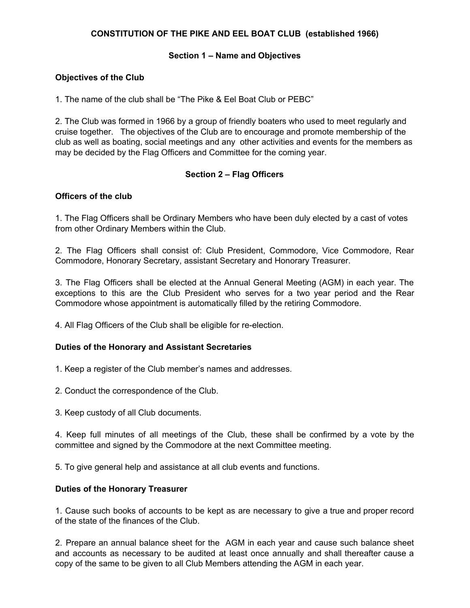## **CONSTITUTION OF THE PIKE AND EEL BOAT CLUB (established 1966)**

#### **Section 1 – Name and Objectives**

#### **Objectives of the Club**

1. The name of the club shall be "The Pike & Eel Boat Club or PEBC"

2. The Club was formed in 1966 by a group of friendly boaters who used to meet regularly and cruise together. The objectives of the Club are to encourage and promote membership of the club as well as boating, social meetings and any other activities and events for the members as may be decided by the Flag Officers and Committee for the coming year.

### **Section 2 – Flag Officers**

#### **Officers of the club**

1. The Flag Officers shall be Ordinary Members who have been duly elected by a cast of votes from other Ordinary Members within the Club.

2. The Flag Officers shall consist of: Club President, Commodore, Vice Commodore, Rear Commodore, Honorary Secretary, assistant Secretary and Honorary Treasurer.

3. The Flag Officers shall be elected at the Annual General Meeting (AGM) in each year. The exceptions to this are the Club President who serves for a two year period and the Rear Commodore whose appointment is automatically filled by the retiring Commodore.

4. All Flag Officers of the Club shall be eligible for re-election.

#### **Duties of the Honorary and Assistant Secretaries**

1. Keep a register of the Club member's names and addresses.

- 2. Conduct the correspondence of the Club.
- 3. Keep custody of all Club documents.

4. Keep full minutes of all meetings of the Club, these shall be confirmed by a vote by the committee and signed by the Commodore at the next Committee meeting.

5. To give general help and assistance at all club events and functions.

#### **Duties of the Honorary Treasurer**

1. Cause such books of accounts to be kept as are necessary to give a true and proper record of the state of the finances of the Club.

2. Prepare an annual balance sheet for the AGM in each year and cause such balance sheet and accounts as necessary to be audited at least once annually and shall thereafter cause a copy of the same to be given to all Club Members attending the AGM in each year.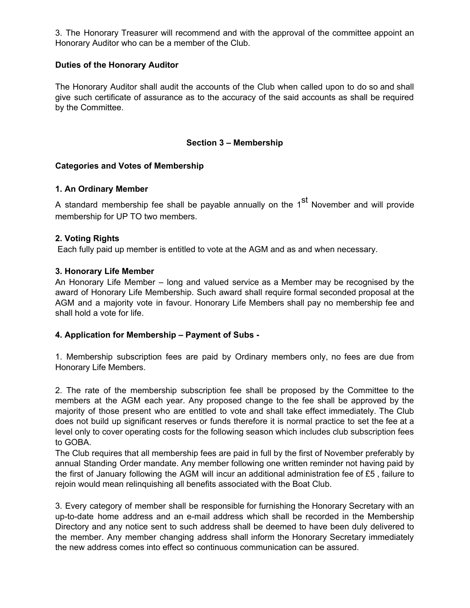3. The Honorary Treasurer will recommend and with the approval of the committee appoint an Honorary Auditor who can be a member of the Club.

### **Duties of the Honorary Auditor**

The Honorary Auditor shall audit the accounts of the Club when called upon to do so and shall give such certificate of assurance as to the accuracy of the said accounts as shall be required by the Committee.

## **Section 3 – Membership**

### **Categories and Votes of Membership**

### **1. An Ordinary Member**

A standard membership fee shall be payable annually on the 1<sup>st</sup> November and will provide membership for UP TO two members.

### **2. Voting Rights**

Each fully paid up member is entitled to vote at the AGM and as and when necessary.

## **3. Honorary Life Member**

An Honorary Life Member – long and valued service as a Member may be recognised by the award of Honorary Life Membership. Such award shall require formal seconded proposal at the AGM and a majority vote in favour. Honorary Life Members shall pay no membership fee and shall hold a vote for life.

# **4. Application for Membership – Payment of Subs -**

1. Membership subscription fees are paid by Ordinary members only, no fees are due from Honorary Life Members.

2. The rate of the membership subscription fee shall be proposed by the Committee to the members at the AGM each year. Any proposed change to the fee shall be approved by the majority of those present who are entitled to vote and shall take effect immediately. The Club does not build up significant reserves or funds therefore it is normal practice to set the fee at a level only to cover operating costs for the following season which includes club subscription fees to GOBA.

The Club requires that all membership fees are paid in full by the first of November preferably by annual Standing Order mandate. Any member following one written reminder not having paid by the first of January following the AGM will incur an additional administration fee of £5 , failure to rejoin would mean relinquishing all benefits associated with the Boat Club.

3. Every category of member shall be responsible for furnishing the Honorary Secretary with an up-to-date home address and an e-mail address which shall be recorded in the Membership Directory and any notice sent to such address shall be deemed to have been duly delivered to the member. Any member changing address shall inform the Honorary Secretary immediately the new address comes into effect so continuous communication can be assured.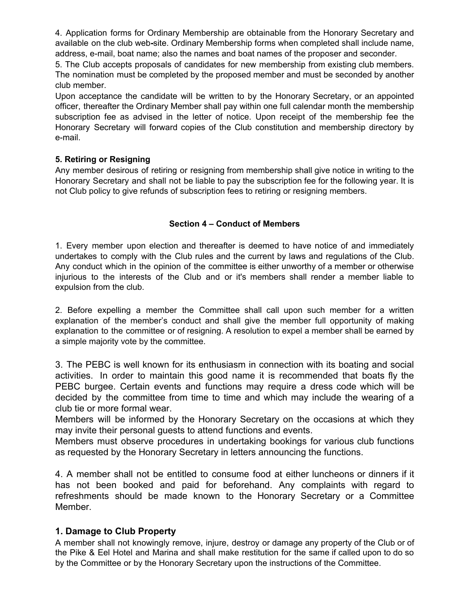4. Application forms for Ordinary Membership are obtainable from the Honorary Secretary and available on the club web-site. Ordinary Membership forms when completed shall include name, address, e-mail, boat name; also the names and boat names of the proposer and seconder.

5. The Club accepts proposals of candidates for new membership from existing club members. The nomination must be completed by the proposed member and must be seconded by another club member.

Upon acceptance the candidate will be written to by the Honorary Secretary, or an appointed officer, thereafter the Ordinary Member shall pay within one full calendar month the membership subscription fee as advised in the letter of notice. Upon receipt of the membership fee the Honorary Secretary will forward copies of the Club constitution and membership directory by e-mail.

## **5. Retiring or Resigning**

Any member desirous of retiring or resigning from membership shall give notice in writing to the Honorary Secretary and shall not be liable to pay the subscription fee for the following year. It is not Club policy to give refunds of subscription fees to retiring or resigning members.

## **Section 4 – Conduct of Members**

1. Every member upon election and thereafter is deemed to have notice of and immediately undertakes to comply with the Club rules and the current by laws and regulations of the Club. Any conduct which in the opinion of the committee is either unworthy of a member or otherwise injurious to the interests of the Club and or it's members shall render a member liable to expulsion from the club.

2. Before expelling a member the Committee shall call upon such member for a written explanation of the member's conduct and shall give the member full opportunity of making explanation to the committee or of resigning. A resolution to expel a member shall be earned by a simple majority vote by the committee.

3. The PEBC is well known for its enthusiasm in connection with its boating and social activities. In order to maintain this good name it is recommended that boats fly the PEBC burgee. Certain events and functions may require a dress code which will be decided by the committee from time to time and which may include the wearing of a club tie or more formal wear.

Members will be informed by the Honorary Secretary on the occasions at which they may invite their personal guests to attend functions and events.

Members must observe procedures in undertaking bookings for various club functions as requested by the Honorary Secretary in letters announcing the functions.

4. A member shall not be entitled to consume food at either luncheons or dinners if it has not been booked and paid for beforehand. Any complaints with regard to refreshments should be made known to the Honorary Secretary or a Committee Member.

# **1. Damage to Club Property**

A member shall not knowingly remove, injure, destroy or damage any property of the Club or of the Pike & Eel Hotel and Marina and shall make restitution for the same if called upon to do so by the Committee or by the Honorary Secretary upon the instructions of the Committee.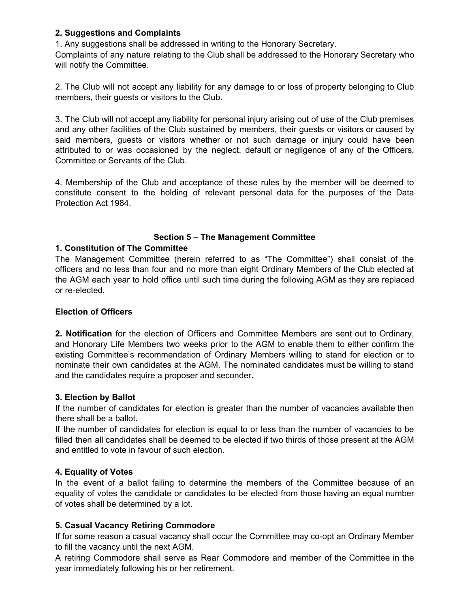### **2. Suggestions and Complaints**

1. Any suggestions shall be addressed in writing to the Honorary Secretary.

Complaints of any nature relating to the Club shall be addressed to the Honorary Secretary who will notify the Committee.

2. The Club will not accept any liability for any damage to or loss of property belonging to Club members, their guests or visitors to the Club.

3. The Club will not accept any liability for personal injury arising out of use of the Club premises and any other facilities of the Club sustained by members, their guests or visitors or caused by said members, guests or visitors whether or not such damage or injury could have been attributed to or was occasioned by the neglect, default or negligence of any of the Officers, Committee or Servants of the Club.

4. Membership of the Club and acceptance of these rules by the member will be deemed to constitute consent to the holding of relevant personal data for the purposes of the Data Protection Act 1984.

## **Section 5 – The Management Committee**

## **1. Constitution of The Committee**

The Management Committee (herein referred to as "The Committee") shall consist of the officers and no less than four and no more than eight Ordinary Members of the Club elected at the AGM each year to hold office until such time during the following AGM as they are replaced or re-elected.

### **Election of Officers**

**2. Notification** for the election of Officers and Committee Members are sent out to Ordinary, and Honorary Life Members two weeks prior to the AGM to enable them to either confirm the existing Committee's recommendation of Ordinary Members willing to stand for election or to nominate their own candidates at the AGM. The nominated candidates must be willing to stand and the candidates require a proposer and seconder.

### **3. Election by Ballot**

If the number of candidates for election is greater than the number of vacancies available then there shall be a ballot.

If the number of candidates for election is equal to or less than the number of vacancies to be filled then all candidates shall be deemed to be elected if two thirds of those present at the AGM and entitled to vote in favour of such election.

### **4. Equality of Votes**

In the event of a ballot failing to determine the members of the Committee because of an equality of votes the candidate or candidates to be elected from those having an equal number of votes shall be determined by a lot.

# **5. Casual Vacancy Retiring Commodore**

If for some reason a casual vacancy shall occur the Committee may co-opt an Ordinary Member to fill the vacancy until the next AGM.

A retiring Commodore shall serve as Rear Commodore and member of the Committee in the year immediately following his or her retirement.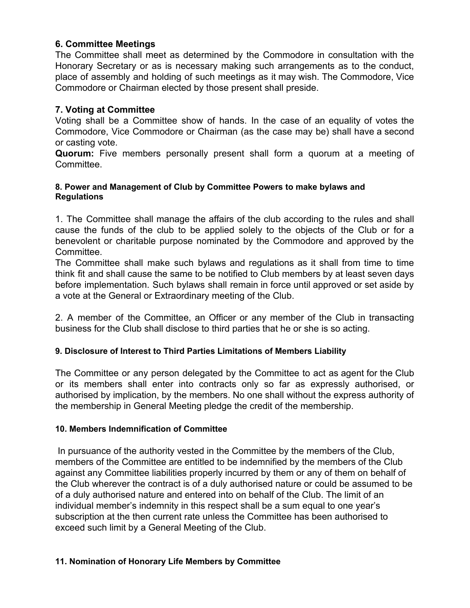# **6. Committee Meetings**

The Committee shall meet as determined by the Commodore in consultation with the Honorary Secretary or as is necessary making such arrangements as to the conduct, place of assembly and holding of such meetings as it may wish. The Commodore, Vice Commodore or Chairman elected by those present shall preside.

# **7. Voting at Committee**

Voting shall be a Committee show of hands. In the case of an equality of votes the Commodore, Vice Commodore or Chairman (as the case may be) shall have a second or casting vote.

**Quorum:** Five members personally present shall form a quorum at a meeting of Committee.

## **8. Power and Management of Club by Committee Powers to make bylaws and Regulations**

1. The Committee shall manage the affairs of the club according to the rules and shall cause the funds of the club to be applied solely to the objects of the Club or for a benevolent or charitable purpose nominated by the Commodore and approved by the Committee.

The Committee shall make such bylaws and regulations as it shall from time to time think fit and shall cause the same to be notified to Club members by at least seven days before implementation. Such bylaws shall remain in force until approved or set aside by a vote at the General or Extraordinary meeting of the Club.

2. A member of the Committee, an Officer or any member of the Club in transacting business for the Club shall disclose to third parties that he or she is so acting.

# **9. Disclosure of Interest to Third Parties Limitations of Members Liability**

The Committee or any person delegated by the Committee to act as agent for the Club or its members shall enter into contracts only so far as expressly authorised, or authorised by implication, by the members. No one shall without the express authority of the membership in General Meeting pledge the credit of the membership.

### **10. Members Indemnification of Committee**

In pursuance of the authority vested in the Committee by the members of the Club, members of the Committee are entitled to be indemnified by the members of the Club against any Committee liabilities properly incurred by them or any of them on behalf of the Club wherever the contract is of a duly authorised nature or could be assumed to be of a duly authorised nature and entered into on behalf of the Club. The limit of an individual member's indemnity in this respect shall be a sum equal to one year's subscription at the then current rate unless the Committee has been authorised to exceed such limit by a General Meeting of the Club.

### **11. Nomination of Honorary Life Members by Committee**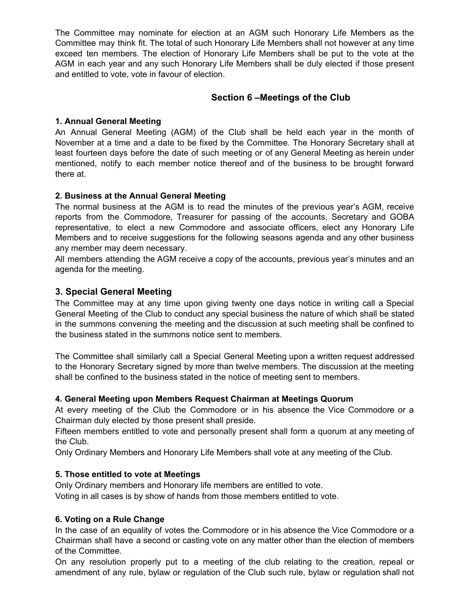The Committee may nominate for election at an AGM such Honorary Life Members as the Committee may think fit. The total of such Honorary Life Members shall not however at any time exceed ten members. The election of Honorary Life Members shall be put to the vote at the AGM in each year and any such Honorary Life Members shall be duly elected if those present and entitled to vote, vote in favour of election.

# **Section 6 –Meetings of the Club**

## **1. Annual General Meeting**

An Annual General Meeting (AGM) of the Club shall be held each year in the month of November at a time and a date to be fixed by the Committee. The Honorary Secretary shall at least fourteen days before the date of such meeting or of any General Meeting as herein under mentioned, notify to each member notice thereof and of the business to be brought forward there at.

# **2. Business at the Annual General Meeting**

The normal business at the AGM is to read the minutes of the previous year's AGM, receive reports from the Commodore, Treasurer for passing of the accounts, Secretary and GOBA representative, to elect a new Commodore and associate officers, elect any Honorary Life Members and to receive suggestions for the following seasons agenda and any other business any member may deem necessary.

All members attending the AGM receive a copy of the accounts, previous year's minutes and an agenda for the meeting.

# **3. Special General Meeting**

The Committee may at any time upon giving twenty one days notice in writing call a Special General Meeting of the Club to conduct any special business the nature of which shall be stated in the summons convening the meeting and the discussion at such meeting shall be confined to the business stated in the summons notice sent to members.

The Committee shall similarly call a Special General Meeting upon a written request addressed to the Honorary Secretary signed by more than twelve members. The discussion at the meeting shall be confined to the business stated in the notice of meeting sent to members.

### **4. General Meeting upon Members Request Chairman at Meetings Quorum**

At every meeting of the Club the Commodore or in his absence the Vice Commodore or a Chairman duly elected by those present shall preside.

Fifteen members entitled to vote and personally present shall form a quorum at any meeting of the Club.

Only Ordinary Members and Honorary Life Members shall vote at any meeting of the Club.

### **5. Those entitled to vote at Meetings**

Only Ordinary members and Honorary life members are entitled to vote.

Voting in all cases is by show of hands from those members entitled to vote.

### **6. Voting on a Rule Change**

In the case of an equality of votes the Commodore or in his absence the Vice Commodore or a Chairman shall have a second or casting vote on any matter other than the election of members of the Committee.

On any resolution properly put to a meeting of the club relating to the creation, repeal or amendment of any rule, bylaw or regulation of the Club such rule, bylaw or regulation shall not